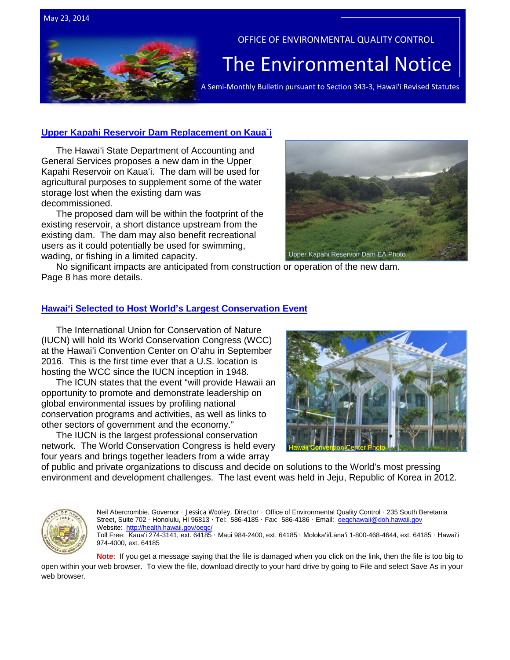

## **[Upper Kapahi Reservoir Dam Replacement](http://oeqc.doh.hawaii.gov/Shared%20Documents/EA_and_EIS_Online_Library/Kauai/2010s/2014-05-23-KA-DEA-Upper-Kapahi-Reservoir-Dam-Placement.pdf) on Kaua`i**

The Hawaiʻi State Department of Accounting and General Services proposes a new dam in the Upper Kapahi Reservoir on Kauaʻi. The dam will be used for agricultural purposes to supplement some of the water storage lost when the existing dam was decommissioned.

The proposed dam will be within the footprint of the existing reservoir, a short distance upstream from the existing dam. The dam may also benefit recreational users as it could potentially be used for swimming, wading, or fishing in a limited capacity.



No significant impacts are anticipated from construction or operation of the new dam. Page 8 has more details.

## **Hawaiʻ[i Selected to Host World's Largest Conservation Event](http://www.iucn.org/?uNewsID=14840)**

The International Union for Conservation of Nature (IUCN) will hold its World Conservation Congress (WCC) at the Hawaiʻi Convention Center on Oʻahu in September 2016. This is the first time ever that a U.S. location is hosting the WCC since the IUCN inception in 1948.

The ICUN states that the event "will provide Hawaii an opportunity to promote and demonstrate leadership on global environmental issues by profiling national conservation programs and activities, as well as links to other sectors of government and the economy."

The IUCN is the largest professional conservation network. The World Conservation Congress is held every four years and brings together leaders from a wide array



of public and private organizations to discuss and decide on solutions to the World's most pressing environment and development challenges. The last event was held in Jeju, Republic of Korea in 2012.



Neil Abercrombie, Governor · Jessica Wooley, Director · Office of Environmental Quality Control · 235 South Beretania Street, Suite 702 · Honolulu, HI 96813 · Tel: 586-4185 · Fax: 586-4186 · Email: oegchawaii@doh.hawaii.gov Website: http://health.hawaii.gov/oeqo Toll Free: Kauaʻi 274-3141, ext. 64185 · Maui 984-2400, ext. 64185 · Molokaʻi/Lānaʻi 1-800-468-4644, ext. 64185 · Hawaiʻi 974-4000, ext. 64185

**Note**: If you get a message saying that the file is damaged when you click on the link, then the file is too big to open within your web browser. To view the file, download directly to your hard drive by going to File and select Save As in your web browser.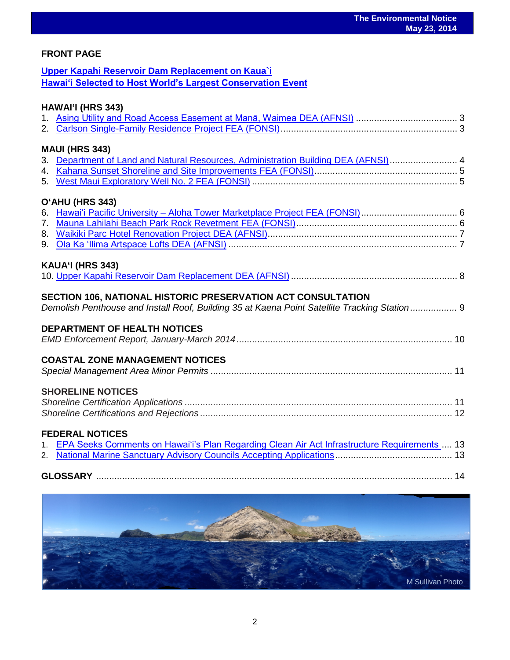## **FRONT PAGE**

## **[Upper Kapahi Reservoir Dam Replacement on Kaua`i](http://oeqc.doh.hawaii.gov/Shared%20Documents/EA_and_EIS_Online_Library/Kauai/2010s/2014-05-23-KA-DEA-Upper-Kapahi-Reservoir-Dam-Placement.pdf) [Hawaiʻi Selected to Host World's Largest Conservation Event](http://www.iucn.org/?uNewsID=14840)**

## **HAWAI'I (HRS 343)**

| <b>MAUI (HRS 343)</b>                                                                          |  |
|------------------------------------------------------------------------------------------------|--|
| 3. Department of Land and Natural Resources, Administration Building DEA (AFNSI) 4             |  |
|                                                                                                |  |
|                                                                                                |  |
|                                                                                                |  |
| O'AHU (HRS 343)                                                                                |  |
| 6. Hawai'i Pacific University - Aloha Tower Marketplace Project FEA (FONSI) 6                  |  |
|                                                                                                |  |
|                                                                                                |  |
|                                                                                                |  |
|                                                                                                |  |
| KAUA'I (HRS 343)                                                                               |  |
|                                                                                                |  |
|                                                                                                |  |
| SECTION 106, NATIONAL HISTORIC PRESERVATION ACT CONSULTATION                                   |  |
| Demolish Penthouse and Install Roof, Building 35 at Kaena Point Satellite Tracking Station 9   |  |
|                                                                                                |  |
| <b>DEPARTMENT OF HEALTH NOTICES</b>                                                            |  |
|                                                                                                |  |
|                                                                                                |  |
| <b>COASTAL ZONE MANAGEMENT NOTICES</b>                                                         |  |
|                                                                                                |  |
|                                                                                                |  |
| <b>SHORELINE NOTICES</b>                                                                       |  |
|                                                                                                |  |
|                                                                                                |  |
|                                                                                                |  |
| <b>FEDERAL NOTICES</b>                                                                         |  |
|                                                                                                |  |
| 1. EPA Seeks Comments on Hawai'i's Plan Regarding Clean Air Act Infrastructure Requirements 13 |  |
|                                                                                                |  |
|                                                                                                |  |
|                                                                                                |  |

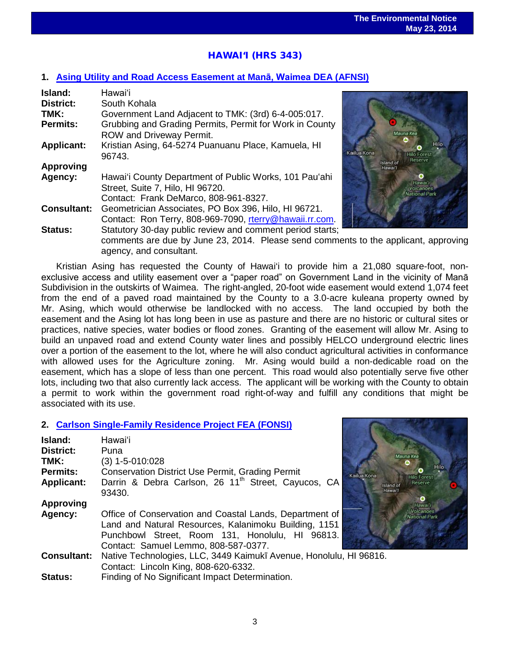# HAWAI'I (HRS 343)

## **1. [Asing Utility and Road Access Easement at Ma](http://oeqc.doh.hawaii.gov/Shared%20Documents/EA_and_EIS_Online_Library/Hawaii/2010s/2014-05-23-HA-DEA-Asing-Utility-and-Road-Access-Easement-at-Mana-Waimea.pdf)nā, Waimea DEA (AFNSI)**

| Island:            | Hawai'i                                                   |
|--------------------|-----------------------------------------------------------|
| <b>District:</b>   | South Kohala                                              |
| TMK:               | Government Land Adjacent to TMK: (3rd) 6-4-005:017.       |
| <b>Permits:</b>    | Grubbing and Grading Permits, Permit for Work in County   |
|                    | ROW and Driveway Permit.                                  |
| <b>Applicant:</b>  | Kristian Asing, 64-5274 Puanuanu Place, Kamuela, HI       |
|                    | 96743.                                                    |
| <b>Approving</b>   |                                                           |
| Agency:            | Hawai'i County Department of Public Works, 101 Pau'ahi    |
|                    | Street, Suite 7, Hilo, HI 96720.                          |
|                    | Contact: Frank DeMarco, 808-961-8327.                     |
| <b>Consultant:</b> | Geometrician Associates, PO Box 396, Hilo, HI 96721.      |
|                    | Contact: Ron Terry, 808-969-7090, rterry@hawaii.rr.com.   |
| <b>Status:</b>     | Statutory 30-day public review and comment period starts; |
|                    | comments are due by June 23, 2014. Please send commen     |



end comments to the applicant, approving agency, and consultant.

Kristian Asing has requested the County of Hawai'i to provide him a 21,080 square-foot, nonexclusive access and utility easement over a "paper road" on Government Land in the vicinity of Manā Subdivision in the outskirts of Waimea. The right-angled, 20-foot wide easement would extend 1,074 feet from the end of a paved road maintained by the County to a 3.0-acre kuleana property owned by Mr. Asing, which would otherwise be landlocked with no access. The land occupied by both the easement and the Asing lot has long been in use as pasture and there are no historic or cultural sites or practices, native species, water bodies or flood zones. Granting of the easement will allow Mr. Asing to build an unpaved road and extend County water lines and possibly HELCO underground electric lines over a portion of the easement to the lot, where he will also conduct agricultural activities in conformance with allowed uses for the Agriculture zoning. Mr. Asing would build a non-dedicable road on the easement, which has a slope of less than one percent. This road would also potentially serve five other lots, including two that also currently lack access. The applicant will be working with the County to obtain a permit to work within the government road right-of-way and fulfill any conditions that might be associated with its use.

## **2. [Carlson Single-Family Residence Project FEA \(FONSI\)](http://oeqc.doh.hawaii.gov/Shared%20Documents/EA_and_EIS_Online_Library/Hawaii/2010s/2014-05-23-HA-FEA-Carlson-Single-Family-Residence.pdf)**

| Island:            | Hawai'i                                                                                                                                                                                                     |             |
|--------------------|-------------------------------------------------------------------------------------------------------------------------------------------------------------------------------------------------------------|-------------|
| <b>District:</b>   | Puna                                                                                                                                                                                                        |             |
| TMK:               | $(3)$ 1-5-010:028                                                                                                                                                                                           |             |
| <b>Permits:</b>    | <b>Conservation District Use Permit, Grading Permit</b>                                                                                                                                                     | Kailua Kona |
| <b>Applicant:</b>  | Darrin & Debra Carlson, 26 11 <sup>th</sup> Street, Cayucos, CA<br>93430.                                                                                                                                   | Isla<br>Ha  |
| <b>Approving</b>   |                                                                                                                                                                                                             |             |
| Agency:            | Office of Conservation and Coastal Lands, Department of<br>Land and Natural Resources, Kalanimoku Building, 1151<br>Punchbowl Street, Room 131, Honolulu, HI 96813.<br>Contact: Samuel Lemmo, 808-587-0377. |             |
| <b>Consultant:</b> | Native Technologies, LLC, 3449 Kaimukī Avenue, Honolulu, HI 96816.                                                                                                                                          |             |
|                    | Contact: Lincoln King, 808-620-6332.                                                                                                                                                                        |             |
| <b>Status:</b>     | Finding of No Significant Impact Determination.                                                                                                                                                             |             |

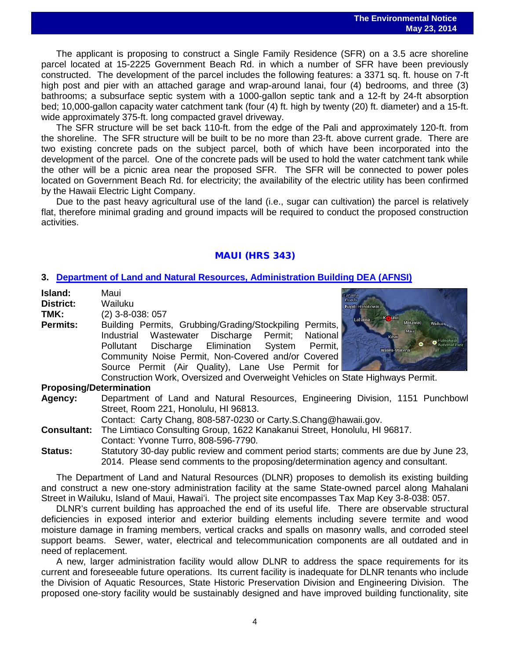The applicant is proposing to construct a Single Family Residence (SFR) on a 3.5 acre shoreline parcel located at 15-2225 Government Beach Rd. in which a number of SFR have been previously constructed. The development of the parcel includes the following features: a 3371 sq. ft. house on 7-ft high post and pier with an attached garage and wrap-around lanai, four (4) bedrooms, and three (3) bathrooms; a subsurface septic system with a 1000-gallon septic tank and a 12-ft by 24-ft absorption bed; 10,000-gallon capacity water catchment tank (four (4) ft. high by twenty (20) ft. diameter) and a 15-ft. wide approximately 375-ft. long compacted gravel driveway.

The SFR structure will be set back 110-ft. from the edge of the Pali and approximately 120-ft. from the shoreline. The SFR structure will be built to be no more than 23-ft. above current grade. There are two existing concrete pads on the subject parcel, both of which have been incorporated into the development of the parcel. One of the concrete pads will be used to hold the water catchment tank while the other will be a picnic area near the proposed SFR. The SFR will be connected to power poles located on Government Beach Rd. for electricity; the availability of the electric utility has been confirmed by the Hawaii Electric Light Company.

Due to the past heavy agricultural use of the land (i.e., sugar can cultivation) the parcel is relatively flat, therefore minimal grading and ground impacts will be required to conduct the proposed construction activities.

## MAUI (HRS 343)

### **3. [Department of Land and Natural Resources, Administration Building DEA \(AFNSI\)](http://oeqc.doh.hawaii.gov/Shared%20Documents/EA_and_EIS_Online_Library/Maui/2010s/2014-05-23-MA-DEA-DLNR-Administration-Building.pdf)**

| Island:<br><b>District:</b><br>TMK: | Maui<br>Wailuku<br>Napili-Honokowai<br>$(2)$ 3-8-038: 057<br>Kaului<br>Lahaina                                                                                                                  |  |
|-------------------------------------|-------------------------------------------------------------------------------------------------------------------------------------------------------------------------------------------------|--|
| <b>Permits:</b>                     | Makawao<br>Building Permits, Grubbing/Grading/Stockpiling Permits,<br>Maui<br>Wastewater Discharge Permit; National<br>Industrial<br>Kihei<br>Discharge Elimination System Permit,<br>Pollutant |  |
|                                     | Wailea-Makena<br>Community Noise Permit, Non-Covered and/or Covered<br>Source Permit (Air Quality), Lane Use Permit for                                                                         |  |
|                                     | Construction Work, Oversized and Overweight Vehicles on State Highways Permit.                                                                                                                  |  |
| <b>Proposing/Determination</b>      |                                                                                                                                                                                                 |  |
| Agency:                             | Department of Land and Natural Resources, Engineering Division, 1151 Punchbowl<br>Street, Room 221, Honolulu, HI 96813.<br>Contact: Carty Chang, 808-587-0230 or Carty.S.Chang@hawaii.gov.      |  |
| <b>Consultant:</b>                  | The Limtiaco Consulting Group, 1622 Kanakanui Street, Honolulu, HI 96817.<br>Contact: Yvonne Turro, 808-596-7790.                                                                               |  |
| <b>Status:</b>                      | Statutory 30-day public review and comment period starts; comments are due by June 23,<br>2014. Please send comments to the proposing/determination agency and consultant.                      |  |

The Department of Land and Natural Resources (DLNR) proposes to demolish its existing building and construct a new one-story administration facility at the same State-owned parcel along Mahalani Street in Wailuku, Island of Maui, Hawaiʻi. The project site encompasses Tax Map Key 3-8-038: 057.

DLNR's current building has approached the end of its useful life. There are observable structural deficiencies in exposed interior and exterior building elements including severe termite and wood moisture damage in framing members, vertical cracks and spalls on masonry walls, and corroded steel support beams. Sewer, water, electrical and telecommunication components are all outdated and in need of replacement.

A new, larger administration facility would allow DLNR to address the space requirements for its current and foreseeable future operations. Its current facility is inadequate for DLNR tenants who include the Division of Aquatic Resources, State Historic Preservation Division and Engineering Division. The proposed one-story facility would be sustainably designed and have improved building functionality, site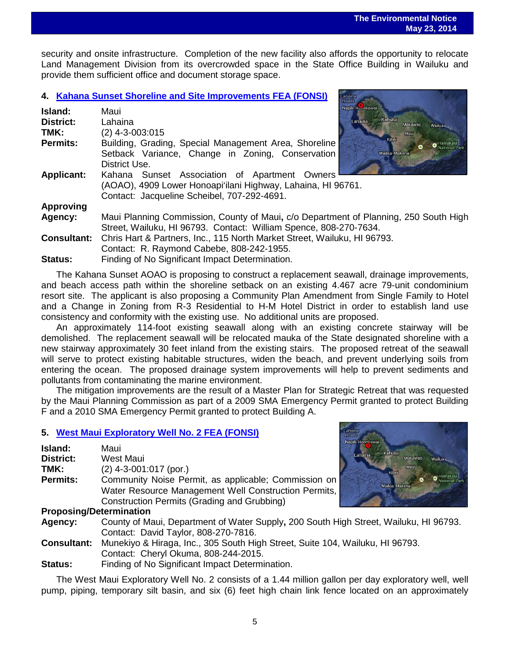security and onsite infrastructure. Completion of the new facility also affords the opportunity to relocate Land Management Division from its overcrowded space in the State Office Building in Wailuku and provide them sufficient office and document storage space.

### **4. [Kahana Sunset Shoreline and Site Improvements FEA \(FONSI\)](http://oeqc.doh.hawaii.gov/Shared%20Documents/EA_and_EIS_Online_Library/Maui/2010s/2014-05-23-MA-FEA-Kahana-Sunset-Shoreline-and-Site-Improvements.pdf)**

| Island:            | Napili-Hunokowai<br>Maui                                                             |
|--------------------|--------------------------------------------------------------------------------------|
| <b>District:</b>   | Kahului<br>Lahaina<br>Lahaina<br>Makawao<br>Wailua-                                  |
| TMK:               | (2) 4-3-003:015<br>Maui                                                              |
| Permits:           | Kihei<br>Building, Grading, Special Management Area, Shoreline                       |
|                    | Setback Variance, Change in Zoning, Conservation<br>Wailea-Makena                    |
|                    | District Use.                                                                        |
| <b>Applicant:</b>  | Kahana Sunset Association of Apartment Owners                                        |
|                    | (AOAO), 4909 Lower Honoapi'ilani Highway, Lahaina, HI 96761.                         |
|                    | Contact: Jacqueline Scheibel, 707-292-4691.                                          |
| <b>Approving</b>   |                                                                                      |
| Agency:            | Maui Planning Commission, County of Maui, c/o Department of Planning, 250 South High |
|                    | Street, Wailuku, HI 96793. Contact: William Spence, 808-270-7634.                    |
| <b>Consultant:</b> | Chris Hart & Partners, Inc., 115 North Market Street, Wailuku, HI 96793.             |
|                    | Contact: R. Raymond Cabebe, 808-242-1955.                                            |
| Status:            | Finding of No Significant Impact Determination.                                      |

The Kahana Sunset AOAO is proposing to construct a replacement seawall, drainage improvements, and beach access path within the shoreline setback on an existing 4.467 acre 79-unit condominium resort site. The applicant is also proposing a Community Plan Amendment from Single Family to Hotel and a Change in Zoning from R-3 Residential to H-M Hotel District in order to establish land use consistency and conformity with the existing use. No additional units are proposed.

An approximately 114-foot existing seawall along with an existing concrete stairway will be demolished. The replacement seawall will be relocated mauka of the State designated shoreline with a new stairway approximately 30 feet inland from the existing stairs. The proposed retreat of the seawall will serve to protect existing habitable structures, widen the beach, and prevent underlying soils from entering the ocean. The proposed drainage system improvements will help to prevent sediments and pollutants from contaminating the marine environment.

The mitigation improvements are the result of a Master Plan for Strategic Retreat that was requested by the Maui Planning Commission as part of a 2009 SMA Emergency Permit granted to protect Building F and a 2010 SMA Emergency Permit granted to protect Building A.

### **5. [West Maui Exploratory Well No. 2 FEA \(FONSI\)](http://oeqc.doh.hawaii.gov/Shared%20Documents/EA_and_EIS_Online_Library/Maui/2010s/2014-05-23-MA-FEA-West-Maui-Exploratory-Well-No.-2.pdf)**

| Island:                                                                         | Maui                                                 |
|---------------------------------------------------------------------------------|------------------------------------------------------|
| <b>District:</b>                                                                | West Maui                                            |
| TMK:                                                                            | $(2)$ 4-3-001:017 (por.)                             |
| <b>Permits:</b>                                                                 | Community Noise Permit, as applicable; Commission on |
|                                                                                 | Water Resource Management Well Construction Permits, |
|                                                                                 | Construction Permits (Grading and Grubbing)          |
| $D_{\text{max}}$ and $D_{\text{max}}$ and $D_{\text{max}}$ and $D_{\text{max}}$ |                                                      |



### **Proposing/Determination**

**Agency:** County of Maui, Department of Water Supply**,** 200 South High Street, Wailuku, HI 96793. Contact: David Taylor, 808-270-7816.

- **Consultant:** Munekiyo & Hiraga, Inc., 305 South High Street, Suite 104, Wailuku, HI 96793. Contact: Cheryl Okuma, 808-244-2015.
- **Status:** Finding of No Significant Impact Determination.

The West Maui Exploratory Well No. 2 consists of a 1.44 million gallon per day exploratory well, well pump, piping, temporary silt basin, and six (6) feet high chain link fence located on an approximately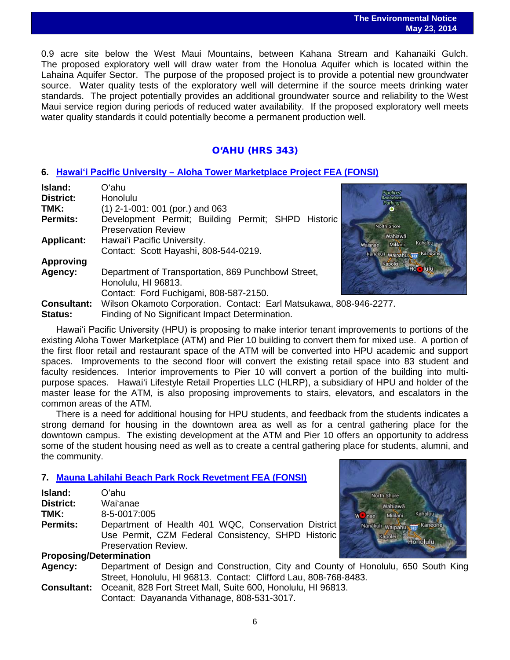### **The Environmental Notice May 23, 2014**

 0.9 acre site below the West Maui Mountains, between Kahana Stream and Kahanaiki Gulch. The proposed exploratory well will draw water from the Honolua Aquifer which is located within the Lahaina Aquifer Sector. The purpose of the proposed project is to provide a potential new groundwater source. Water quality tests of the exploratory well will determine if the source meets drinking water standards. The project potentially provides an additional groundwater source and reliability to the West Maui service region during periods of reduced water availability. If the proposed exploratory well meets water quality standards it could potentially become a permanent production well.

## O'AHU (HRS 343)

## **6. Hawaiʻi Pacific University – [Aloha Tower Marketplace Project FEA \(FONSI\)](http://oeqc.doh.hawaii.gov/Shared%20Documents/EA_and_EIS_Online_Library/Oahu/2010s/2014-05-23-OA-FEA-Hawaii-Pacific-University-Aloha-Marketplace-Project.pdf)**

| Island:                                | Oʻahu                                                                                                                  |                                       |
|----------------------------------------|------------------------------------------------------------------------------------------------------------------------|---------------------------------------|
| <b>District:</b>                       | Honolulu                                                                                                               | <b>Pipelir</b>                        |
| TMK:                                   | $(1)$ 2-1-001: 001 (por.) and 063                                                                                      |                                       |
| <b>Permits:</b>                        | Development Permit; Building Permit; SHPD Historic<br><b>Preservation Review</b>                                       | North Sho                             |
| <b>Applicant:</b>                      | Hawai'i Pacific University.<br>Contact: Scott Hayashi, 808-544-0219.                                                   | Wah<br>Mil<br>Walanae<br>Nänäkuli Wai |
| <b>Approving</b>                       |                                                                                                                        | Kapol                                 |
| Agency:                                | Department of Transportation, 869 Punchbowl Street,<br>Honolulu, HI 96813.                                             |                                       |
|                                        | Contact: Ford Fuchigami, 808-587-2150.                                                                                 |                                       |
| <b>Consultant:</b><br>$P1 - 1 - 0 - 1$ | Wilson Okamoto Corporation. Contact: Earl Matsukawa, 808-946-2277.<br>Finalize of No. Cianificant Import Determination |                                       |



- 
- **Status:** Finding of No Significant Impact Determination.

Hawaiʻi Pacific University (HPU) is proposing to make interior tenant improvements to portions of the existing Aloha Tower Marketplace (ATM) and Pier 10 building to convert them for mixed use. A portion of the first floor retail and restaurant space of the ATM will be converted into HPU academic and support spaces. Improvements to the second floor will convert the existing retail space into 83 student and faculty residences. Interior improvements to Pier 10 will convert a portion of the building into multipurpose spaces. Hawai'i Lifestyle Retail Properties LLC (HLRP), a subsidiary of HPU and holder of the master lease for the ATM, is also proposing improvements to stairs, elevators, and escalators in the common areas of the ATM.

There is a need for additional housing for HPU students, and feedback from the students indicates a strong demand for housing in the downtown area as well as for a central gathering place for the downtown campus. The existing development at the ATM and Pier 10 offers an opportunity to address some of the student housing need as well as to create a central gathering place for students, alumni, and the community.

## **7. [Mauna Lahilahi Beach Park Rock Revetment](http://oeqc.doh.hawaii.gov/Shared%20Documents/EA_and_EIS_Online_Library/Oahu/2010s/2014-05-23-OA-FEA-Mauna-Lahilahi-Beach-Park-Rock-Revetment.pdf) FEA (FONSI)**

| Island:                        | O'ahu                                               |  |
|--------------------------------|-----------------------------------------------------|--|
| <b>District:</b>               | Wai'anae                                            |  |
| TMK:                           | 8-5-0017:005                                        |  |
| <b>Permits:</b>                | Department of Health 401 WQC, Conservation District |  |
|                                | Use Permit, CZM Federal Consistency, SHPD Historic  |  |
|                                | Preservation Review.                                |  |
| <b>Proposing/Determination</b> |                                                     |  |



- **Agency:** Department of Design and Construction, City and County of Honolulu, 650 South King Street, Honolulu, HI 96813. Contact: Clifford Lau, 808-768-8483.
- **Consultant:** Oceanit, 828 Fort Street Mall, Suite 600, Honolulu, HI 96813. Contact: Dayananda Vithanage, 808-531-3017.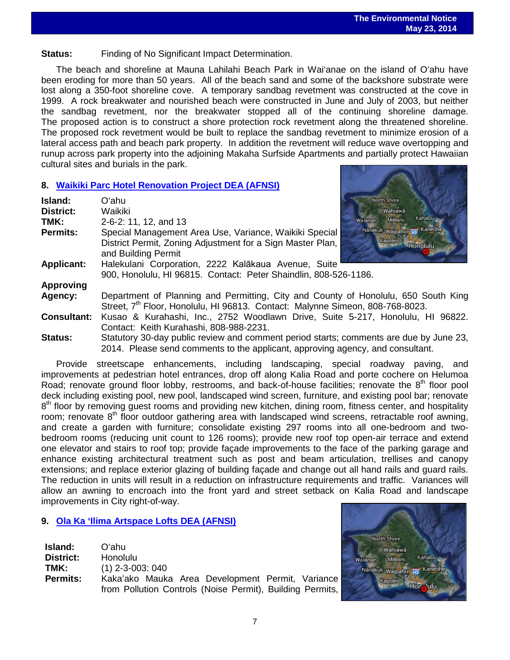**Status:** Finding of No Significant Impact Determination.

The beach and shoreline at Mauna Lahilahi Beach Park in Wai'anae on the island of O'ahu have been eroding for more than 50 years. All of the beach sand and some of the backshore substrate were lost along a 350-foot shoreline cove. A temporary sandbag revetment was constructed at the cove in 1999. A rock breakwater and nourished beach were constructed in June and July of 2003, but neither the sandbag revetment, nor the breakwater stopped all of the continuing shoreline damage. The proposed action is to construct a shore protection rock revetment along the threatened shoreline. The proposed rock revetment would be built to replace the sandbag revetment to minimize erosion of a lateral access path and beach park property. In addition the revetment will reduce wave overtopping and runup across park property into the adjoining Makaha Surfside Apartments and partially protect Hawaiian cultural sites and burials in the park.

## **8. [Waikiki Parc Hotel Renovation Project DEA \(AFNSI\)](http://oeqc.doh.hawaii.gov/Shared%20Documents/EA_and_EIS_Online_Library/Oahu/2010s/2014-05-23-OA-DEA-Waikiki-Parc-Hotel-Renovation-Project.pdf)**

| Island:            | North Shore<br>Oʻahu                                                                                                                                                     |  |
|--------------------|--------------------------------------------------------------------------------------------------------------------------------------------------------------------------|--|
| District:          | Waikiki<br>Wahiawā                                                                                                                                                       |  |
| TMK:               | Kahaluu<br>Mililani<br>2-6-2: 11, 12, and 13<br>Waianae                                                                                                                  |  |
| Permits:           | Nanakuli waipahua na Kaneohe<br>Special Management Area Use, Variance, Waikiki Special                                                                                   |  |
|                    | Kapolei<br>District Permit, Zoning Adjustment for a Sign Master Plan,<br><b>Honolulu</b><br>and Building Permit                                                          |  |
| <b>Applicant:</b>  | Halekulani Corporation, 2222 Kalākaua Avenue, Suite                                                                                                                      |  |
|                    | 900, Honolulu, HI 96815. Contact: Peter Shaindlin, 808-526-1186.                                                                                                         |  |
| <b>Approving</b>   |                                                                                                                                                                          |  |
| Agency:            | Department of Planning and Permitting, City and County of Honolulu, 650 South King                                                                                       |  |
|                    | Street, 7 <sup>th</sup> Floor, Honolulu, HI 96813. Contact: Malynne Simeon, 808-768-8023.                                                                                |  |
| <b>Consultant:</b> | Kusao & Kurahashi, Inc., 2752 Woodlawn Drive, Suite 5-217, Honolulu, HI 96822.                                                                                           |  |
|                    | Contact: Keith Kurahashi, 808-988-2231.                                                                                                                                  |  |
| <b>Status:</b>     | Statutory 30-day public review and comment period starts; comments are due by June 23,<br>2014. Please send comments to the applicant, approving agency, and consultant. |  |

Provide streetscape enhancements, including landscaping, special roadway paving, and improvements at pedestrian hotel entrances, drop off along Kalia Road and porte cochere on Helumoa Road; renovate ground floor lobby, restrooms, and back-of-house facilities; renovate the 8<sup>th</sup> floor pool deck including existing pool, new pool, landscaped wind screen, furniture, and existing pool bar; renovate 8<sup>th</sup> floor by removing guest rooms and providing new kitchen, dining room, fitness center, and hospitality room; renovate  $8<sup>th</sup>$  floor outdoor gathering area with landscaped wind screens, retractable roof awning, and create a garden with furniture; consolidate existing 297 rooms into all one-bedroom and twobedroom rooms (reducing unit count to 126 rooms); provide new roof top open-air terrace and extend one elevator and stairs to roof top; provide façade improvements to the face of the parking garage and enhance existing architectural treatment such as post and beam articulation, trellises and canopy extensions; and replace exterior glazing of building façade and change out all hand rails and guard rails. The reduction in units will result in a reduction on infrastructure requirements and traffic. Variances will allow an awning to encroach into the front yard and street setback on Kalia Road and landscape improvements in City right-of-way.

## **9. [Ola Ka 'Ilima Artspace Lofts DEA \(AFNSI\)](http://oeqc.doh.hawaii.gov/Shared%20Documents/EA_and_EIS_Online_Library/Oahu/2010s/2014-05-23-OA-DEA-Ola-Ka-Lima-Artspace-Lofts.pdf)**

| Island:         | Oʻahu.                                                    |
|-----------------|-----------------------------------------------------------|
| District:       | Honolulu                                                  |
| TMK:            | $(1)$ 2-3-003: 040                                        |
| <b>Permits:</b> | Kaka'ako Mauka Area Development Permit, Variance          |
|                 | from Pollution Controls (Noise Permit), Building Permits, |

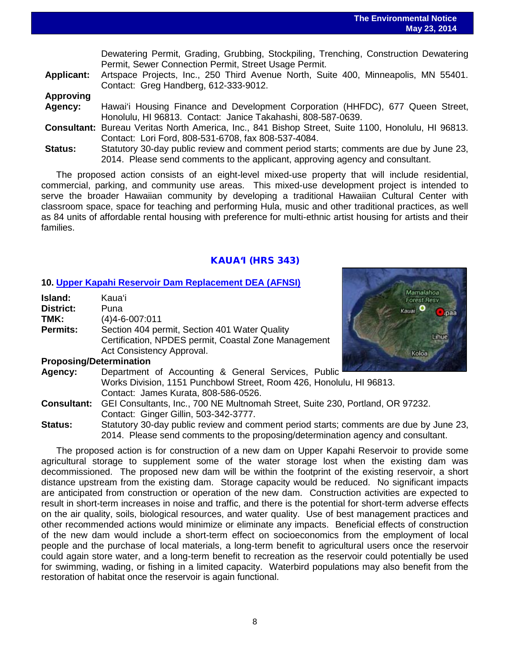Mamalahoa Forest Resv Kauai O

Koloa

Lihue

|                   | bomatomig i omini, Ordanig, Ordanig, Otookpiinig, Tronomig, Oonotraction Bomatomig                 |
|-------------------|----------------------------------------------------------------------------------------------------|
|                   | Permit, Sewer Connection Permit, Street Usage Permit.                                              |
| <b>Applicant:</b> | Artspace Projects, Inc., 250 Third Avenue North, Suite 400, Minneapolis, MN 55401.                 |
|                   | Contact: Greg Handberg, 612-333-9012.                                                              |
| <b>Approving</b>  |                                                                                                    |
| Agency:           | Hawai'i Housing Finance and Development Corporation (HHFDC), 677 Queen Street,                     |
|                   | Honolulu, HI 96813. Contact: Janice Takahashi, 808-587-0639.                                       |
|                   | Consultant: Bureau Veritas North America, Inc., 841 Bishop Street, Suite 1100, Honolulu, HI 96813. |
|                   | Contact: Lori Ford, 808-531-6708, fax 808-537-4084.                                                |
| <b>Status:</b>    | Statutory 30-day public review and comment period starts; comments are due by June 23,             |
|                   | 2014. Please send comments to the applicant, approving agency and consultant.                      |

Dewatering Permit, Grading, Grubbing, Stockpiling, Trenching, Construction Dewatering

The proposed action consists of an eight-level mixed-use property that will include residential, commercial, parking, and community use areas. This mixed-use development project is intended to serve the broader Hawaiian community by developing a traditional Hawaiian Cultural Center with classroom space, space for teaching and performing Hula, music and other traditional practices, as well as 84 units of affordable rental housing with preference for multi-ethnic artist housing for artists and their families.

### KAUA'I (HRS 343)

### **10. [Upper Kapahi Reservoir Dam Replacement DEA \(AFNSI\)](http://oeqc.doh.hawaii.gov/Shared%20Documents/EA_and_EIS_Online_Library/Kauai/2010s/2014-05-23-KA-DEA-Upper-Kapahi-Reservoir-Dam-Placement.pdf)**

| Island:                                         | Kaua'i                                               |
|-------------------------------------------------|------------------------------------------------------|
| <b>District:</b>                                | Puna                                                 |
| TMK:                                            | $(4)4 - 6 - 007:011$                                 |
| <b>Permits:</b>                                 | Section 404 permit, Section 401 Water Quality        |
|                                                 | Certification, NPDES permit, Coastal Zone Management |
|                                                 | Act Consistency Approval.                            |
| Business of the substantial contract of the set |                                                      |

### **Proposing/Determination**

- **Agency:** Department of Accounting & General Services, Public Works Division, 1151 Punchbowl Street, Room 426, Honolulu, HI 96813. Contact: James Kurata, 808-586-0526.
- **Consultant:** GEI Consultants, Inc., 700 NE Multnomah Street, Suite 230, Portland, OR 97232. Contact: Ginger Gillin, 503-342-3777.

**Status:** Statutory 30-day public review and comment period starts; comments are due by June 23, 2014. Please send comments to the proposing/determination agency and consultant.

The proposed action is for construction of a new dam on Upper Kapahi Reservoir to provide some agricultural storage to supplement some of the water storage lost when the existing dam was decommissioned. The proposed new dam will be within the footprint of the existing reservoir, a short distance upstream from the existing dam. Storage capacity would be reduced. No significant impacts are anticipated from construction or operation of the new dam. Construction activities are expected to result in short-term increases in noise and traffic, and there is the potential for short-term adverse effects on the air quality, soils, biological resources, and water quality. Use of best management practices and other recommended actions would minimize or eliminate any impacts. Beneficial effects of construction of the new dam would include a short-term effect on socioeconomics from the employment of local people and the purchase of local materials, a long-term benefit to agricultural users once the reservoir could again store water, and a long-term benefit to recreation as the reservoir could potentially be used for swimming, wading, or fishing in a limited capacity. Waterbird populations may also benefit from the restoration of habitat once the reservoir is again functional.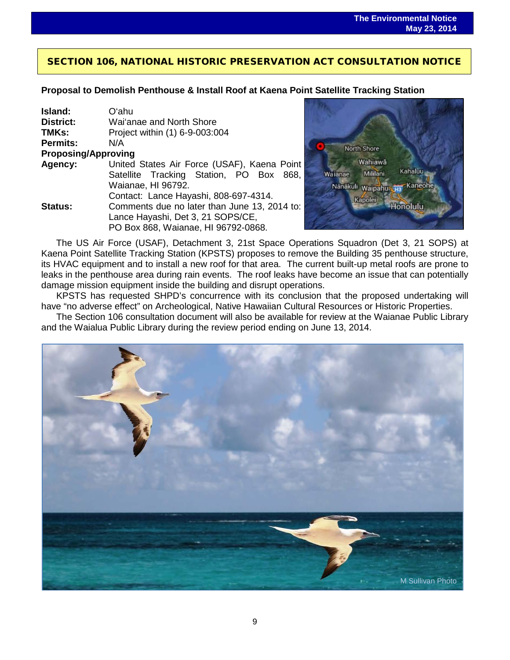## SECTION 106, NATIONAL HISTORIC PRESERVATION ACT CONSULTATION NOTICE

 $\overline{a}$ 

## **Proposal to Demolish Penthouse & Install Roof at Kaena Point Satellite Tracking Station**

| Island:                    | Oʻahu                                        |  |  |  |  |
|----------------------------|----------------------------------------------|--|--|--|--|
| District:                  | Wai'anae and North Shore                     |  |  |  |  |
| TMKs:                      | Project within (1) 6-9-003:004               |  |  |  |  |
| <b>Permits:</b>            | N/A                                          |  |  |  |  |
| <b>Proposing/Approving</b> |                                              |  |  |  |  |
| Agency:                    | United States Air Force (USAF), Kaena Point  |  |  |  |  |
|                            | Satellite Tracking Station, PO Box<br>868.   |  |  |  |  |
|                            | Waianae, HI 96792.                           |  |  |  |  |
|                            | Contact: Lance Hayashi, 808-697-4314.        |  |  |  |  |
| Status:                    | Comments due no later than June 13, 2014 to: |  |  |  |  |
|                            | Lance Hayashi, Det 3, 21 SOPS/CE,            |  |  |  |  |
|                            | PO Box 868, Waianae, HI 96792-0868.          |  |  |  |  |



The US Air Force (USAF), Detachment 3, 21st Space Operations Squadron (Det 3, 21 SOPS) at Kaena Point Satellite Tracking Station (KPSTS) proposes to remove the Building 35 penthouse structure, its HVAC equipment and to install a new roof for that area. The current built-up metal roofs are prone to leaks in the penthouse area during rain events. The roof leaks have become an issue that can potentially damage mission equipment inside the building and disrupt operations.

KPSTS has requested SHPD's concurrence with its conclusion that the proposed undertaking will have "no adverse effect" on Archeological, Native Hawaiian Cultural Resources or Historic Properties.

The Section 106 consultation document will also be available for review at the Waianae Public Library and the Waialua Public Library during the review period ending on June 13, 2014.

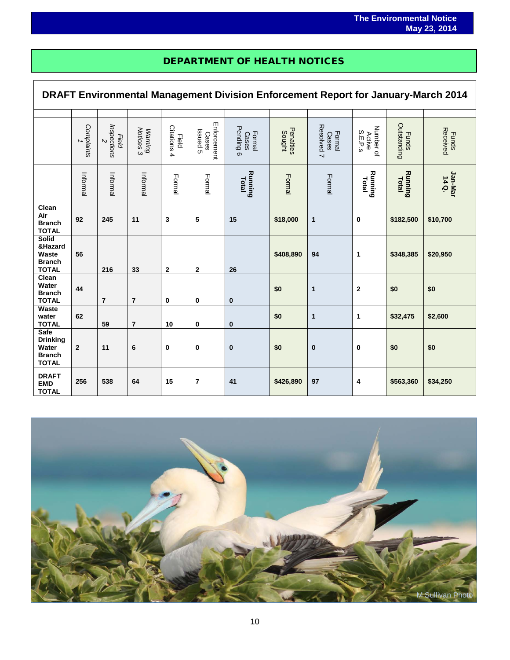## DEPARTMENT OF HEALTH NOTICES

i<br>I

 $\Gamma$ 

| DRAFT Environmental Management Division Enforcement Report for January-March 2014 |                 |                                |                      |                             |                                  |                              |                     |                               |                                |                             |                          |
|-----------------------------------------------------------------------------------|-----------------|--------------------------------|----------------------|-----------------------------|----------------------------------|------------------------------|---------------------|-------------------------------|--------------------------------|-----------------------------|--------------------------|
|                                                                                   |                 |                                |                      |                             |                                  |                              |                     |                               |                                |                             |                          |
|                                                                                   | Complaints<br>→ | Inspections<br>Field<br>$\sim$ | Notices 3<br>Warning | Citations 4<br><b>Field</b> | Enforcement<br>Issued 5<br>Cases | Pending 6<br>Formal<br>Cases | Penalties<br>Sought | Resolved 7<br>Formal<br>Cases | Number of<br>S.E.P.5<br>Active | Outstanding<br><b>Funds</b> | Received<br><b>Funds</b> |
|                                                                                   | Informal        | Informal                       | Informal             | Formal                      | Formal                           | Running<br>Total             | Formal              | Formal                        | Running<br>Total               | <b>Running</b><br>Total     | Jan-Mar<br>14Q.          |
| Clean<br>Air<br><b>Branch</b><br><b>TOTAL</b>                                     | 92              | 245                            | 11                   | 3                           | 5                                | 15                           | \$18,000            | $\mathbf{1}$                  | 0                              | \$182,500                   | \$10,700                 |
| <b>Solid</b><br>&Hazard<br>Waste<br><b>Branch</b><br><b>TOTAL</b>                 | 56              | 216                            | 33                   | $\mathbf{2}$                | $\mathbf 2$                      | 26                           | \$408,890           | 94                            | 1                              | \$348,385                   | \$20,950                 |
| Clean<br>Water<br><b>Branch</b><br><b>TOTAL</b>                                   | 44              | $\overline{7}$                 | $\overline{7}$       | 0                           | 0                                | $\bf{0}$                     | \$0                 | $\mathbf{1}$                  | $\mathbf 2$                    | \$0                         | \$0                      |
| <b>Waste</b><br>water<br><b>TOTAL</b>                                             | 62              | 59                             | 7                    | 10                          | 0                                | $\bf{0}$                     | \$0                 | 1                             | 1                              | \$32,475                    | \$2,600                  |
| Safe<br><b>Drinking</b><br>Water<br><b>Branch</b><br><b>TOTAL</b>                 | $\overline{2}$  | 11                             | 6                    | $\bf{0}$                    | $\bf{0}$                         | $\bf{0}$                     | \$0                 | $\bf{0}$                      | 0                              | \$0                         | \$0                      |
| <b>DRAFT</b><br><b>EMD</b><br><b>TOTAL</b>                                        | 256             | 538                            | 64                   | 15                          | $\overline{7}$                   | 41                           | \$426,890           | 97                            | 4                              | \$563,360                   | \$34,250                 |

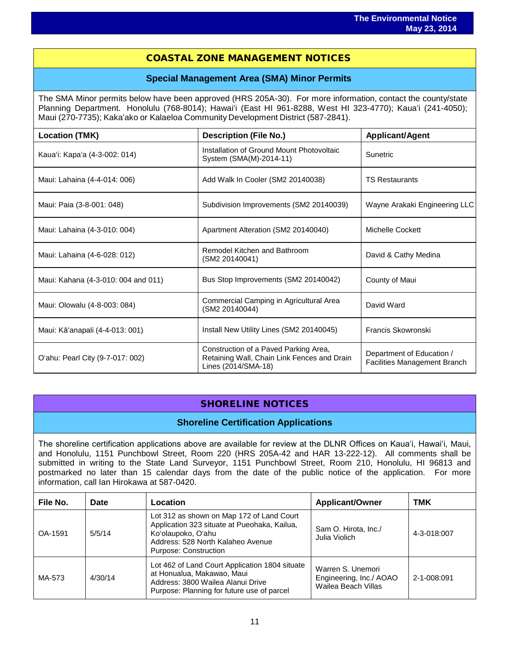## COASTAL ZONE MANAGEMENT NOTICES

### **Special Management Area (SMA) Minor Permits**

The SMA Minor permits below have been approved (HRS 205A-30). For more information, contact the county/state Planning Department. Honolulu (768-8014); Hawaiʻi (East HI 961-8288, West HI 323-4770); Kauaʻi (241-4050); Maui (270-7735); Kakaʻako or Kalaeloa Community Development District (587-2841).

| <b>Location (TMK)</b>               | <b>Description (File No.)</b>                                                                               | <b>Applicant/Agent</b>                                    |
|-------------------------------------|-------------------------------------------------------------------------------------------------------------|-----------------------------------------------------------|
| Kaua'i: Kapa'a (4-3-002: 014)       | Installation of Ground Mount Photovoltaic<br>System (SMA(M)-2014-11)                                        | Sunetric                                                  |
| Maui: Lahaina (4-4-014: 006)        | Add Walk In Cooler (SM2 20140038)                                                                           | <b>TS Restaurants</b>                                     |
| Maui: Paia (3-8-001: 048)           | Subdivision Improvements (SM2 20140039)                                                                     | Wayne Arakaki Engineering LLC                             |
| Maui: Lahaina (4-3-010: 004)        | Apartment Alteration (SM2 20140040)                                                                         | Michelle Cockett                                          |
| Maui: Lahaina (4-6-028: 012)        | Remodel Kitchen and Bathroom<br>(SM2 20140041)                                                              | David & Cathy Medina                                      |
| Maui: Kahana (4-3-010: 004 and 011) | Bus Stop Improvements (SM2 20140042)                                                                        | County of Maui                                            |
| Maui: Olowalu (4-8-003: 084)        | Commercial Camping in Agricultural Area<br>(SM2 20140044)                                                   | David Ward                                                |
| Maui: Kā'anapali (4-4-013: 001)     | Install New Utility Lines (SM2 20140045)                                                                    | Francis Skowronski                                        |
| O'ahu: Pearl City (9-7-017: 002)    | Construction of a Paved Parking Area,<br>Retaining Wall, Chain Link Fences and Drain<br>Lines (2014/SMA-18) | Department of Education /<br>Facilities Management Branch |

## SHORELINE NOTICES

### **Shoreline Certification Applications**

The shoreline certification applications above are available for review at the DLNR Offices on Kauaʻi, Hawaiʻi, Maui, and Honolulu, 1151 Punchbowl Street, Room 220 (HRS 205A-42 and HAR 13-222-12). All comments shall be submitted in writing to the State Land Surveyor, 1151 Punchbowl Street, Room 210, Honolulu, HI 96813 and postmarked no later than 15 calendar days from the date of the public notice of the application. For more information, call Ian Hirokawa at 587-0420.

| File No. | Date    | Location                                                                                                                                                                      | <b>Applicant/Owner</b>                                              | тмк         |
|----------|---------|-------------------------------------------------------------------------------------------------------------------------------------------------------------------------------|---------------------------------------------------------------------|-------------|
| OA-1591  | 5/5/14  | Lot 312 as shown on Map 172 of Land Court<br>Application 323 situate at Pueohaka, Kailua,<br>Ko'olaupoko, O'ahu<br>Address: 528 North Kalaheo Avenue<br>Purpose: Construction | Sam O. Hirota, Inc./<br>Julia Violich                               | 4-3-018:007 |
| MA-573   | 4/30/14 | Lot 462 of Land Court Application 1804 situate<br>at Honualua, Makawao, Maui<br>Address: 3800 Wailea Alanui Drive<br>Purpose: Planning for future use of parcel               | Warren S. Unemori<br>Engineering, Inc./ AOAO<br>Wailea Beach Villas | 2-1-008:091 |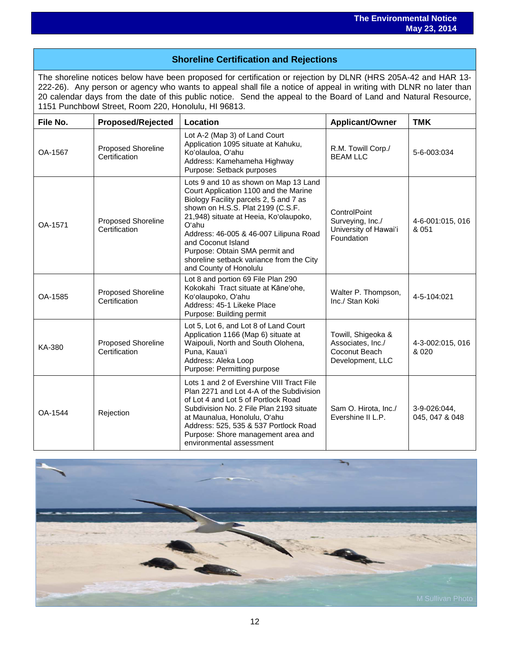## **Shoreline Certification and Rejections**

The shoreline notices below have been proposed for certification or rejection by DLNR (HRS 205A-42 and HAR 13- 222-26). Any person or agency who wants to appeal shall file a notice of appeal in writing with DLNR no later than 20 calendar days from the date of this public notice. Send the appeal to the Board of Land and Natural Resource, 1151 Punchbowl Street, Room 220, Honolulu, HI 96813.

| File No. | <b>Proposed/Rejected</b>                   | Location                                                                                                                                                                                                                                                                                                                                                                                 | <b>Applicant/Owner</b>                                                       | <b>TMK</b>                     |
|----------|--------------------------------------------|------------------------------------------------------------------------------------------------------------------------------------------------------------------------------------------------------------------------------------------------------------------------------------------------------------------------------------------------------------------------------------------|------------------------------------------------------------------------------|--------------------------------|
| OA-1567  | Proposed Shoreline<br>Certification        | Lot A-2 (Map 3) of Land Court<br>Application 1095 situate at Kahuku,<br>Ko'olauloa, O'ahu<br>Address: Kamehameha Highway<br>Purpose: Setback purposes                                                                                                                                                                                                                                    | R.M. Towill Corp./<br><b>BEAM LLC</b>                                        | 5-6-003:034                    |
| OA-1571  | Proposed Shoreline<br>Certification        | Lots 9 and 10 as shown on Map 13 Land<br>Court Application 1100 and the Marine<br>Biology Facility parcels 2, 5 and 7 as<br>shown on H.S.S. Plat 2199 (C.S.F.<br>21,948) situate at Heeia, Ko'olaupoko,<br>O'ahu<br>Address: 46-005 & 46-007 Lilipuna Road<br>and Coconut Island<br>Purpose: Obtain SMA permit and<br>shoreline setback variance from the City<br>and County of Honolulu | ControlPoint<br>Surveying, Inc./<br>University of Hawai'i<br>Foundation      | 4-6-001:015, 016<br>& 051      |
| OA-1585  | Proposed Shoreline<br>Certification        | Lot 8 and portion 69 File Plan 290<br>Kokokahi Tract situate at Kāne'ohe,<br>Ko'olaupoko, O'ahu<br>Address: 45-1 Likeke Place<br>Purpose: Building permit                                                                                                                                                                                                                                | Walter P. Thompson,<br>Inc./ Stan Koki                                       | 4-5-104:021                    |
| KA-380   | <b>Proposed Shoreline</b><br>Certification | Lot 5, Lot 6, and Lot 8 of Land Court<br>Application 1166 (Map 6) situate at<br>Waipouli, North and South Olohena,<br>Puna, Kaua'i<br>Address: Aleka Loop<br>Purpose: Permitting purpose                                                                                                                                                                                                 | Towill, Shigeoka &<br>Associates, Inc./<br>Coconut Beach<br>Development, LLC | 4-3-002:015, 016<br>& 020      |
| OA-1544  | Rejection                                  | Lots 1 and 2 of Evershine VIII Tract File<br>Plan 2271 and Lot 4-A of the Subdivision<br>of Lot 4 and Lot 5 of Portlock Road<br>Subdivision No. 2 File Plan 2193 situate<br>at Maunalua, Honolulu, O'ahu<br>Address: 525, 535 & 537 Portlock Road<br>Purpose: Shore management area and<br>environmental assessment                                                                      | Sam O. Hirota, Inc./<br>Evershine II L.P.                                    | 3-9-026:044,<br>045, 047 & 048 |

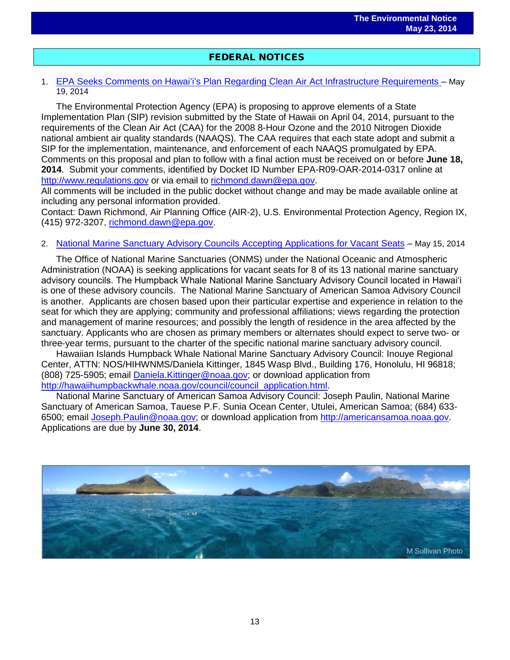## FEDERAL NOTICES

### 1. EPA Seeks Comments on Hawaiʻi's Plan Regarding Clean Air Act [Infrastructure Requirements](http://www.gpo.gov/fdsys/pkg/FR-2014-05-19/pdf/2014-11432.pdf) – May 19, 2014

The Environmental Protection Agency (EPA) is proposing to approve elements of a State Implementation Plan (SIP) revision submitted by the State of Hawaii on April 04, 2014, pursuant to the requirements of the Clean Air Act (CAA) for the 2008 8-Hour Ozone and the 2010 Nitrogen Dioxide national ambient air quality standards (NAAQS). The CAA requires that each state adopt and submit a SIP for the implementation, maintenance, and enforcement of each NAAQS promulgated by EPA. Comments on this proposal and plan to follow with a final action must be received on or before **June 18, 2014**. Submit your comments, identified by Docket ID Number EPA-R09-OAR-2014-0317 online at [http://www.regulations.gov](http://www.regulations.gov/) or via email to [richmond.dawn@epa.gov.](mailto:richmond.dawn@epa.gov)

All comments will be included in the public docket without change and may be made available online at including any personal information provided.

Contact: Dawn Richmond, Air Planning Office (AIR-2), U.S. Environmental Protection Agency, Region IX, (415) 972-3207, [richmond.dawn@epa.gov.](mailto:richmond.dawn@epa.gov)

### 2. [National Marine Sanctuary Advisory Councils Accepting Applications for Vacant Seats](http://www.gpo.gov/fdsys/pkg/FR-2014-05-15/pdf/2014-10668.pdf) – May 15, 2014

The Office of National Marine Sanctuaries (ONMS) under the National Oceanic and Atmospheric Administration (NOAA) is seeking applications for vacant seats for 8 of its 13 national marine sanctuary advisory councils. The Humpback Whale National Marine Sanctuary Advisory Council located in Hawaiʻi is one of these advisory councils. The National Marine Sanctuary of American Samoa Advisory Council is another. Applicants are chosen based upon their particular expertise and experience in relation to the seat for which they are applying; community and professional affiliations; views regarding the protection and management of marine resources; and possibly the length of residence in the area affected by the sanctuary. Applicants who are chosen as primary members or alternates should expect to serve two- or three-year terms, pursuant to the charter of the specific national marine sanctuary advisory council.

Hawaiian Islands Humpback Whale National Marine Sanctuary Advisory Council: Inouye Regional Center, ATTN: NOS/HIHWNMS/Daniela Kittinger, 1845 Wasp Blvd., Building 176, Honolulu, HI 96818; (808) 725-5905; email **Daniela. Kittinger@noaa.gov**; or download application from [http://hawaiihumpbackwhale.noaa.gov/council/council\\_application.html.](http://hawaiihumpbackwhale.noaa.gov/council/council_application.html)

National Marine Sanctuary of American Samoa Advisory Council: Joseph Paulin, National Marine Sanctuary of American Samoa, Tauese P.F. Sunia Ocean Center, Utulei, American Samoa; (684) 633- 6500; email [Joseph.Paulin@noaa.gov;](mailto:Joseph.Paulin@noaa.gov) or download application from [http://americansamoa.noaa.gov.](http://americansamoa.noaa.gov/) Applications are due by **June 30, 2014**.